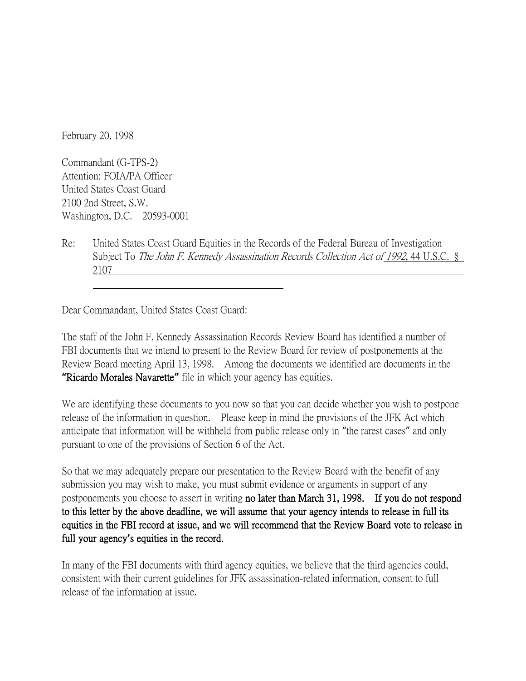February 20, 1998

Commandant (G-TPS-2) Attention: FOIA/PA Officer United States Coast Guard 2100 2nd Street, S.W. Washington, D.C. 20593-0001

Re: United States Coast Guard Equities in the Records of the Federal Bureau of Investigation Subject To The John F. Kennedy Assassination Records Collection Act of 1992, 44 U.S.C. § 2107

Dear Commandant, United States Coast Guard:

The staff of the John F. Kennedy Assassination Records Review Board has identified a number of FBI documents that we intend to present to the Review Board for review of postponements at the Review Board meeting April 13, 1998. Among the documents we identified are documents in the **"**Ricardo Morales Navarette**"** file in which your agency has equities.

We are identifying these documents to you now so that you can decide whether you wish to postpone release of the information in question. Please keep in mind the provisions of the JFK Act which anticipate that information will be withheld from public release only in "the rarest cases" and only pursuant to one of the provisions of Section 6 of the Act.

So that we may adequately prepare our presentation to the Review Board with the benefit of any submission you may wish to make, you must submit evidence or arguments in support of any postponements you choose to assert in writing no later than March 31, 1998. If you do not respond to this letter by the above deadline, we will assume that your agency intends to release in full its equities in the FBI record at issue, and we will recommend that the Review Board vote to release in full your agency**'**s equities in the record.

In many of the FBI documents with third agency equities, we believe that the third agencies could, consistent with their current guidelines for JFK assassination-related information, consent to full release of the information at issue.